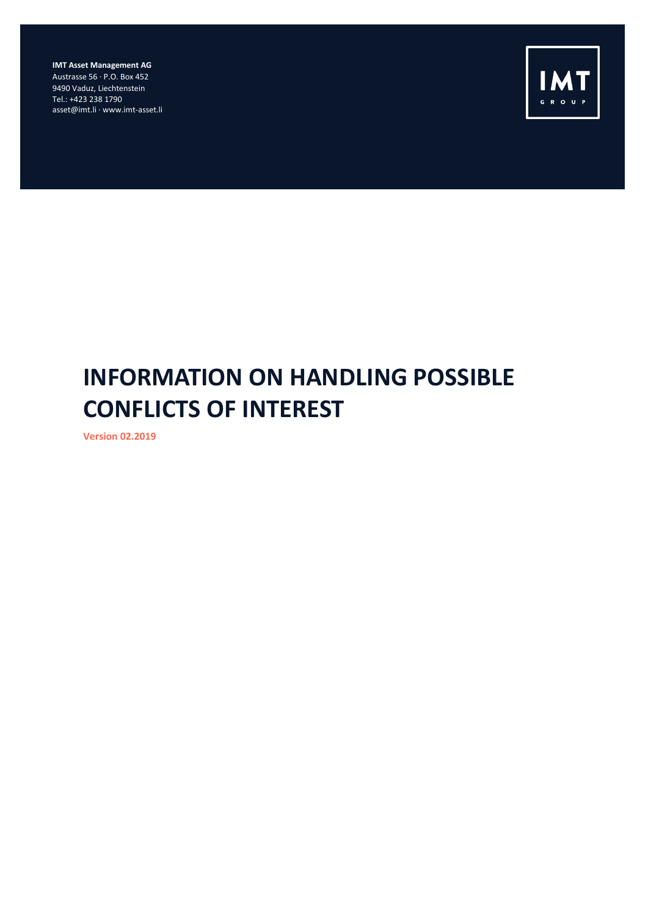**IMT Asset Management AG** Austrasse 56 · P.O. Box 452 9490 Vaduz, Liechtenstein Tel.: +423 238 1790 asset@imt.li · www.imt-asset.li



## **INFORMATION ON HANDLING POSSIBLE CONFLICTS OF INTEREST**

**Version 02.2019**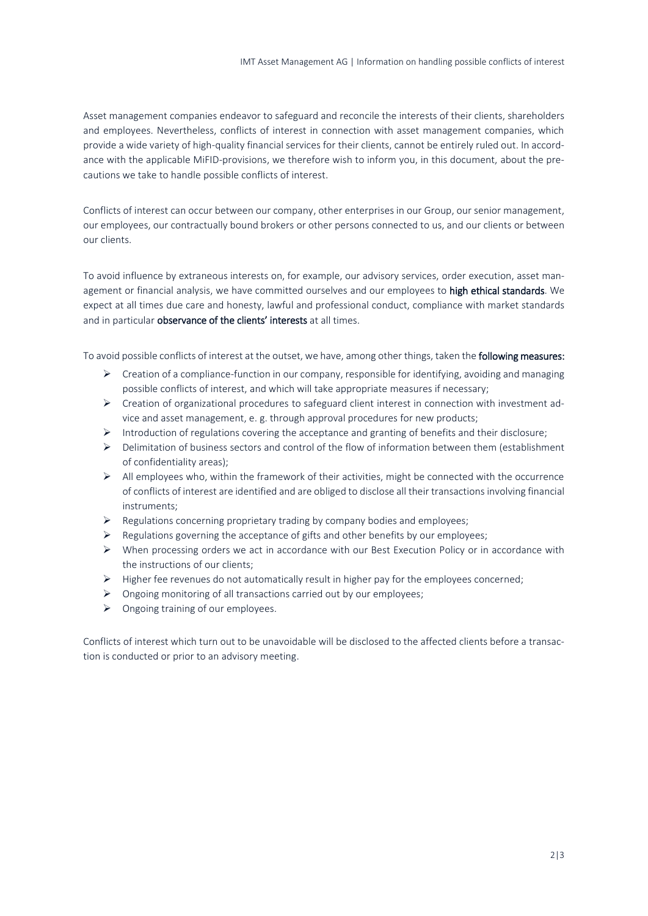Asset management companies endeavor to safeguard and reconcile the interests of their clients, shareholders and employees. Nevertheless, conflicts of interest in connection with asset management companies, which provide a wide variety of high-quality financial services for their clients, cannot be entirely ruled out. In accordance with the applicable MiFID-provisions, we therefore wish to inform you, in this document, about the precautions we take to handle possible conflicts of interest.

Conflicts of interest can occur between our company, other enterprises in our Group, our senior management, our employees, our contractually bound brokers or other persons connected to us, and our clients or between our clients.

To avoid influence by extraneous interests on, for example, our advisory services, order execution, asset management or financial analysis, we have committed ourselves and our employees to high ethical standards. We expect at all times due care and honesty, lawful and professional conduct, compliance with market standards and in particular observance of the clients' interests at all times.

To avoid possible conflicts of interest at the outset, we have, among other things, taken the following measures:

- $\triangleright$  Creation of a compliance-function in our company, responsible for identifying, avoiding and managing possible conflicts of interest, and which will take appropriate measures if necessary;
- ➢ Creation of organizational procedures to safeguard client interest in connection with investment advice and asset management, e. g. through approval procedures for new products;
- ➢ Introduction of regulations covering the acceptance and granting of benefits and their disclosure;
- ➢ Delimitation of business sectors and control of the flow of information between them (establishment of confidentiality areas);
- $\triangleright$  All employees who, within the framework of their activities, might be connected with the occurrence of conflicts of interest are identified and are obliged to disclose all their transactions involving financial instruments;
- $\triangleright$  Regulations concerning proprietary trading by company bodies and employees;
- $\triangleright$  Regulations governing the acceptance of gifts and other benefits by our employees;
- ➢ When processing orders we act in accordance with our Best Execution Policy or in accordance with the instructions of our clients;
- $\triangleright$  Higher fee revenues do not automatically result in higher pay for the employees concerned;
- ➢ Ongoing monitoring of all transactions carried out by our employees;
- ➢ Ongoing training of our employees.

Conflicts of interest which turn out to be unavoidable will be disclosed to the affected clients before a transaction is conducted or prior to an advisory meeting.